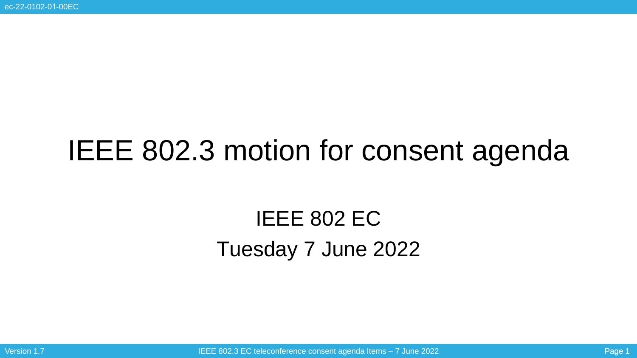# IEEE 802.3 motion for consent agenda

## IEEE 802 EC Tuesday 7 June 2022

Version 1.7 **IEEE 802.3 EC teleconference consent agenda Items – 7 June 2022** Page 1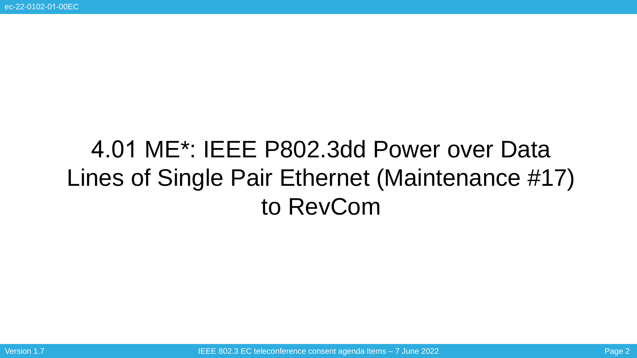# 4.01 ME\*: IEEE P802.3dd Power over Data Lines of Single Pair Ethernet (Maintenance #17) to RevCom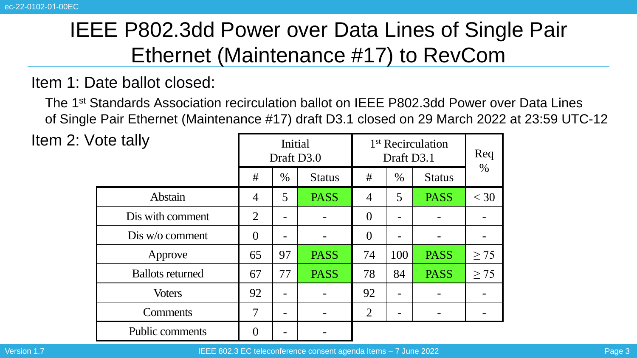### IEEE P802.3dd Power over Data Lines of Single Pair Ethernet (Maintenance #17) to RevCom

#### Item 1: Date ballot closed:

The 1st Standards Association recirculation ballot on IEEE P802.3dd Power over Data Lines of Single Pair Ethernet (Maintenance #17) draft D3.1 closed on 29 March 2022 at 23:59 UTC-12

Item  $2:Vc$ 

| ote tally               | Initial<br>Draft D3.0 |      |               | 1 <sup>st</sup> Recirculation<br>Draft D3.1 |      |               | Req       |
|-------------------------|-----------------------|------|---------------|---------------------------------------------|------|---------------|-----------|
|                         | #                     | $\%$ | <b>Status</b> | #                                           | $\%$ | <b>Status</b> | $\%$      |
| Abstain                 | $\overline{4}$        | 5    | <b>PASS</b>   | 4                                           | 5    | <b>PASS</b>   | $<$ 30    |
| Dis with comment        | 2                     | -    |               | $\overline{0}$                              |      |               |           |
| Dis w/o comment         | $\overline{0}$        | -    |               | $\overline{0}$                              |      |               |           |
| Approve                 | 65                    | 97   | <b>PASS</b>   | 74                                          | 100  | <b>PASS</b>   | $\geq$ 75 |
| <b>Ballots returned</b> | 67                    | 77   | <b>PASS</b>   | 78                                          | 84   | <b>PASS</b>   | $\geq$ 75 |
| <b>Voters</b>           | 92                    | -    |               | 92                                          |      |               |           |
| <b>Comments</b>         | 7                     | -    |               | $\overline{2}$                              |      |               |           |
| <b>Public comments</b>  |                       |      |               |                                             |      |               |           |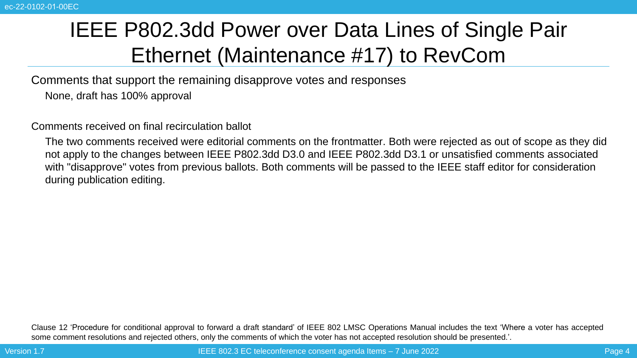### IEEE P802.3dd Power over Data Lines of Single Pair Ethernet (Maintenance #17) to RevCom

Comments that support the remaining disapprove votes and responses

None, draft has 100% approval

Comments received on final recirculation ballot

The two comments received were editorial comments on the frontmatter. Both were rejected as out of scope as they did not apply to the changes between IEEE P802.3dd D3.0 and IEEE P802.3dd D3.1 or unsatisfied comments associated with "disapprove" votes from previous ballots. Both comments will be passed to the IEEE staff editor for consideration during publication editing.

Clause 12 'Procedure for conditional approval to forward a draft standard' of IEEE 802 LMSC Operations Manual includes the text 'Where a voter has accepted some comment resolutions and rejected others, only the comments of which the voter has not accepted resolution should be presented.'.